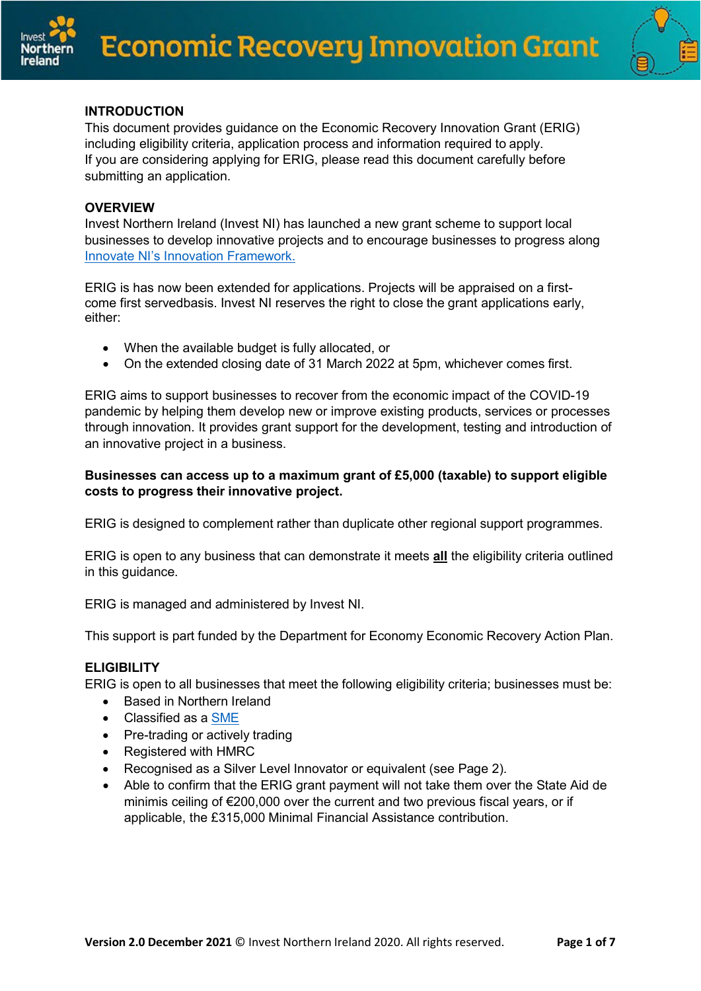



## **INTRODUCTION**

This document provides guidance on the Economic Recovery Innovation Grant (ERIG) including eligibility criteria, application process and information required to apply. If you are considering applying for ERIG, please read this document carefully before submitting an application.

#### **OVERVIEW**

Invest Northern Ireland (Invest NI) has launched a new grant scheme to support local businesses to develop innovative projects and to encourage businesses to progress along Innovate NI's Innovation [Framework.](http://www.innovateni.com/innovation-framework)

ERIG is has now been extended for applications. Projects will be appraised on a firstcome first servedbasis. Invest NI reserves the right to close the grant applications early, either:

- When the available budget is fully allocated, or
- On the extended closing date of 31 March 2022 at 5pm, whichever comes first.

ERIG aims to support businesses to recover from the economic impact of the COVID-19 pandemic by helping them develop new or improve existing products, services or processes through innovation. It provides grant support for the development, testing and introduction of an innovative project in a business.

#### **Businesses can access up to a maximum grant of £5,000 (taxable) to support eligible costs to progress their innovative project.**

ERIG is designed to complement rather than duplicate other regional support programmes.

ERIG is open to any business that can demonstrate it meets **all** the eligibility criteria outlined in this guidance.

ERIG is managed and administered by Invest NI.

This support is part funded by the Department for Economy Economic Recovery Action Plan.

### **ELIGIBILITY**

ERIG is open to all businesses that meet the following eligibility criteria; businesses must be:

- Based in Northern Ireland
- Classified as a [SME](https://ec.europa.eu/growth/smes/sme-definition_en)
- Pre-trading or actively trading
- Registered with HMRC
- Recognised as a Silver Level Innovator or equivalent (see Page 2).
- Able to confirm that the ERIG grant payment will not take them over the State Aid de minimis ceiling of €200,000 over the current and two previous fiscal years, or if applicable, the £315,000 Minimal Financial Assistance contribution.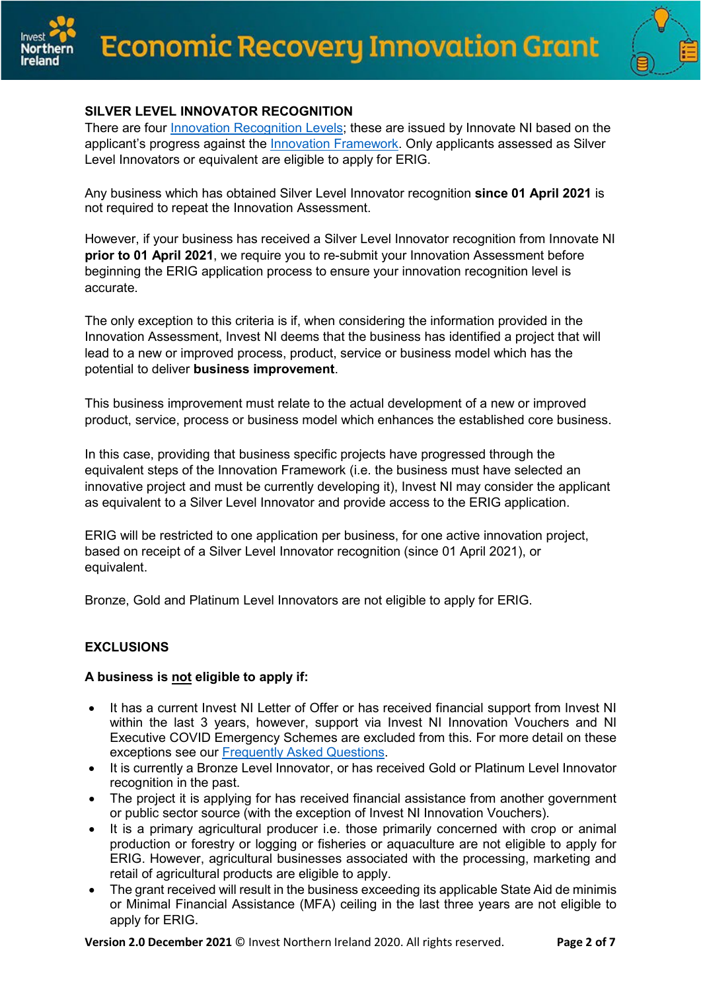



# **SILVER LEVEL INNOVATOR RECOGNITION**

There are four [Innovation Recognition Levels;](https://www.innovateni.com/innovation-recognition-levels) these are issued by Innovate NI based on the applicant's progress against the **Innovation Framework**. Only applicants assessed as Silver Level Innovators or equivalent are eligible to apply for ERIG.

Any business which has obtained Silver Level Innovator recognition **since 01 April 2021** is not required to repeat the Innovation Assessment.

However, if your business has received a Silver Level Innovator recognition from Innovate NI **prior to 01 April 2021**, we require you to re-submit your Innovation Assessment before beginning the ERIG application process to ensure your innovation recognition level is accurate.

The only exception to this criteria is if, when considering the information provided in the Innovation Assessment, Invest NI deems that the business has identified a project that will lead to a new or improved process, product, service or business model which has the potential to deliver **business improvement**.

This business improvement must relate to the actual development of a new or improved product, service, process or business model which enhances the established core business.

In this case, providing that business specific projects have progressed through the equivalent steps of the Innovation Framework (i.e. the business must have selected an innovative project and must be currently developing it), Invest NI may consider the applicant as equivalent to a Silver Level Innovator and provide access to the ERIG application.

ERIG will be restricted to one application per business, for one active innovation project, based on receipt of a Silver Level Innovator recognition (since 01 April 2021), or equivalent.

Bronze, Gold and Platinum Level Innovators are not eligible to apply for ERIG.

# **EXCLUSIONS**

# **A business is not eligible to apply if:**

- It has a current Invest NI Letter of Offer or has received financial support from Invest NI within the last 3 years, however, support via Invest NI Innovation Vouchers and NI Executive COVID Emergency Schemes are excluded from this. For more detail on these exceptions see our [Frequently](https://www.investni.com/economic-recovery-innovation-grant-faqs) Asked Questions.
- It is currently a Bronze Level Innovator, or has received Gold or Platinum Level Innovator recognition in the past.
- The project it is applying for has received financial assistance from another government or public sector source (with the exception of Invest NI Innovation Vouchers).
- It is a primary agricultural producer i.e. those primarily concerned with crop or animal production or forestry or logging or fisheries or aquaculture are not eligible to apply for ERIG. However, agricultural businesses associated with the processing, marketing and retail of agricultural products are eligible to apply.
- The grant received will result in the business exceeding its applicable State Aid de minimis or Minimal Financial Assistance (MFA) ceiling in the last three years are not eligible to apply for ERIG.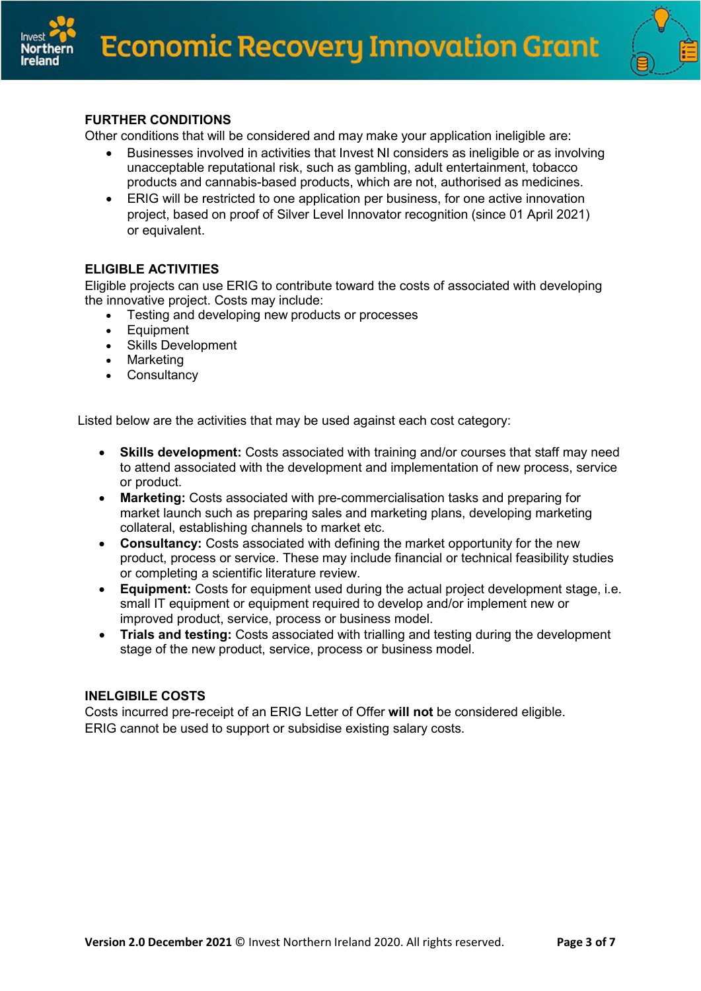



# **FURTHER CONDITIONS**

Other conditions that will be considered and may make your application ineligible are:

- Businesses involved in activities that Invest NI considers as ineligible or as involving unacceptable reputational risk, such as gambling, adult entertainment, tobacco products and cannabis-based products, which are not, authorised as medicines.
- ERIG will be restricted to one application per business, for one active innovation project, based on proof of Silver Level Innovator recognition (since 01 April 2021) or equivalent.

# **ELIGIBLE ACTIVITIES**

Eligible projects can use ERIG to contribute toward the costs of associated with developing the innovative project. Costs may include:

- Testing and developing new products or processes
- Equipment
- Skills Development
- Marketing
- Consultancy

Listed below are the activities that may be used against each cost category:

- **Skills development:** Costs associated with training and/or courses that staff may need to attend associated with the development and implementation of new process, service or product.
- **Marketing:** Costs associated with pre-commercialisation tasks and preparing for market launch such as preparing sales and marketing plans, developing marketing collateral, establishing channels to market etc.
- **Consultancy:** Costs associated with defining the market opportunity for the new product, process or service. These may include financial or technical feasibility studies or completing a scientific literature review.
- **Equipment:** Costs for equipment used during the actual project development stage, i.e. small IT equipment or equipment required to develop and/or implement new or improved product, service, process or business model.
- **Trials and testing:** Costs associated with trialling and testing during the development stage of the new product, service, process or business model.

### **INELGIBILE COSTS**

Costs incurred pre-receipt of an ERIG Letter of Offer **will not** be considered eligible. ERIG cannot be used to support or subsidise existing salary costs.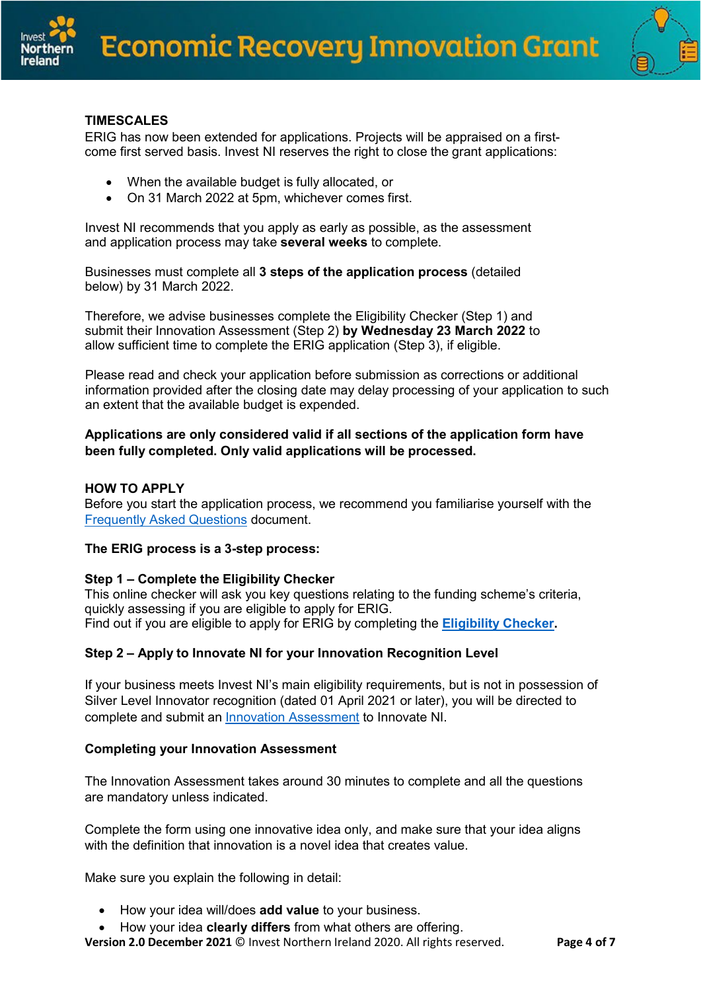



## **TIMESCALES**

ERIG has now been extended for applications. Projects will be appraised on a firstcome first served basis. Invest NI reserves the right to close the grant applications:

- When the available budget is fully allocated, or
- On 31 March 2022 at 5pm, whichever comes first.

Invest NI recommends that you apply as early as possible, as the assessment and application process may take **several weeks** to complete.

Businesses must complete all **3 steps of the application process** (detailed below) by 31 March 2022.

Therefore, we advise businesses complete the Eligibility Checker (Step 1) and submit their Innovation Assessment (Step 2) **by Wednesday 23 March 2022** to allow sufficient time to complete the ERIG application (Step 3), if eligible.

Please read and check your application before submission as corrections or additional information provided after the closing date may delay processing of your application to such an extent that the available budget is expended.

### **Applications are only considered valid if all sections of the application form have been fully completed. Only valid applications will be processed.**

#### **HOW TO APPLY**

Before you start the application process, we recommend you familiarise yourself with the [Frequently](https://www.investni.com/economic-recovery-innovation-grant-faqs) Asked Questions document.

#### **The ERIG process is a 3-step process:**

#### **Step 1 – Complete the Eligibility Checker**

This online checker will ask you key questions relating to the funding scheme's criteria, quickly assessing if you are eligible to apply for ERIG. Find out if you are eligible to apply for ERIG by completing the **[Eligibility](https://www.investni.com/economic-recovery-innovation-grant) Checker.**

### **Step 2 – Apply to Innovate NI for your Innovation Recognition Level**

If your business meets Invest NI's main eligibility requirements, but is not in possession of Silver Level Innovator recognition (dated 01 April 2021 or later), you will be directed to complete and submit an [Innovation Assessment](http://www.innovateni.com/assessment) to Innovate NI.

#### **Completing your Innovation Assessment**

The Innovation Assessment takes around 30 minutes to complete and all the questions are mandatory unless indicated.

Complete the form using one innovative idea only, and make sure that your idea aligns with the definition that innovation is a novel idea that creates value.

Make sure you explain the following in detail:

- How your idea will/does **add value** to your business.
- How your idea **clearly differs** from what others are offering.

**Version 2.0 December 2021** © Invest Northern Ireland 2020. All rights reserved. **Page 4 of 7**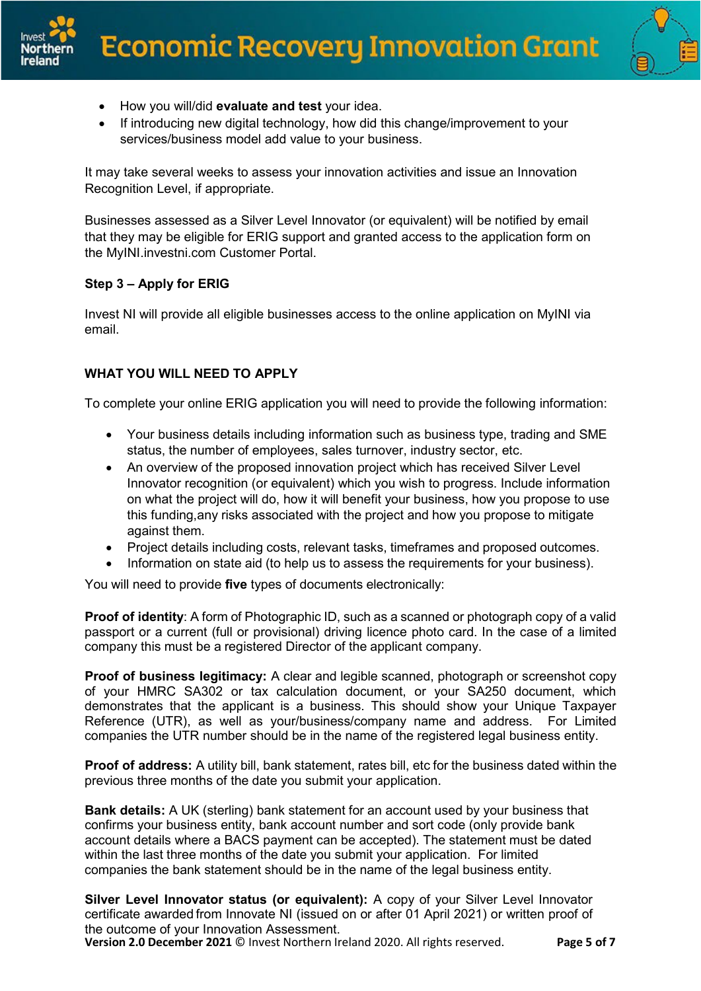



- How you will/did **evaluate and test** your idea.
- If introducing new digital technology, how did this change/improvement to your services/business model add value to your business.

It may take several weeks to assess your innovation activities and issue an Innovation Recognition Level, if appropriate.

Businesses assessed as a Silver Level Innovator (or equivalent) will be notified by email that they may be eligible for ERIG support and granted access to the application form on the MyINI.investni.com Customer Portal.

# **Step 3 – Apply for ERIG**

Invest NI will provide all eligible businesses access to the online application on MyINI via email.

# **WHAT YOU WILL NEED TO APPLY**

To complete your online ERIG application you will need to provide the following information:

- Your business details including information such as business type, trading and SME status, the number of employees, sales turnover, industry sector, etc.
- An overview of the proposed innovation project which has received Silver Level Innovator recognition (or equivalent) which you wish to progress. Include information on what the project will do, how it will benefit your business, how you propose to use this funding,any risks associated with the project and how you propose to mitigate against them.
- Project details including costs, relevant tasks, timeframes and proposed outcomes.
- Information on state aid (to help us to assess the requirements for your business).

You will need to provide **five** types of documents electronically:

**Proof of identity**: A form of Photographic ID, such as a scanned or photograph copy of a valid passport or a current (full or provisional) driving licence photo card. In the case of a limited company this must be a registered Director of the applicant company.

**Proof of business legitimacy:** A clear and legible scanned, photograph or screenshot copy of your HMRC SA302 or tax calculation document, or your SA250 document, which demonstrates that the applicant is a business. This should show your Unique Taxpayer Reference (UTR), as well as your/business/company name and address. For Limited companies the UTR number should be in the name of the registered legal business entity.

**Proof of address:** A utility bill, bank statement, rates bill, etc for the business dated within the previous three months of the date you submit your application.

**Bank details:** A UK (sterling) bank statement for an account used by your business that confirms your business entity, bank account number and sort code (only provide bank account details where a BACS payment can be accepted). The statement must be dated within the last three months of the date you submit your application. For limited companies the bank statement should be in the name of the legal business entity.

**Silver Level Innovator status (or equivalent):** A copy of your Silver Level Innovator certificate awarded from Innovate NI (issued on or after 01 April 2021) or written proof of the outcome of your Innovation Assessment.

**Version 2.0 December 2021** © Invest Northern Ireland 2020. All rights reserved. **Page 5 of 7**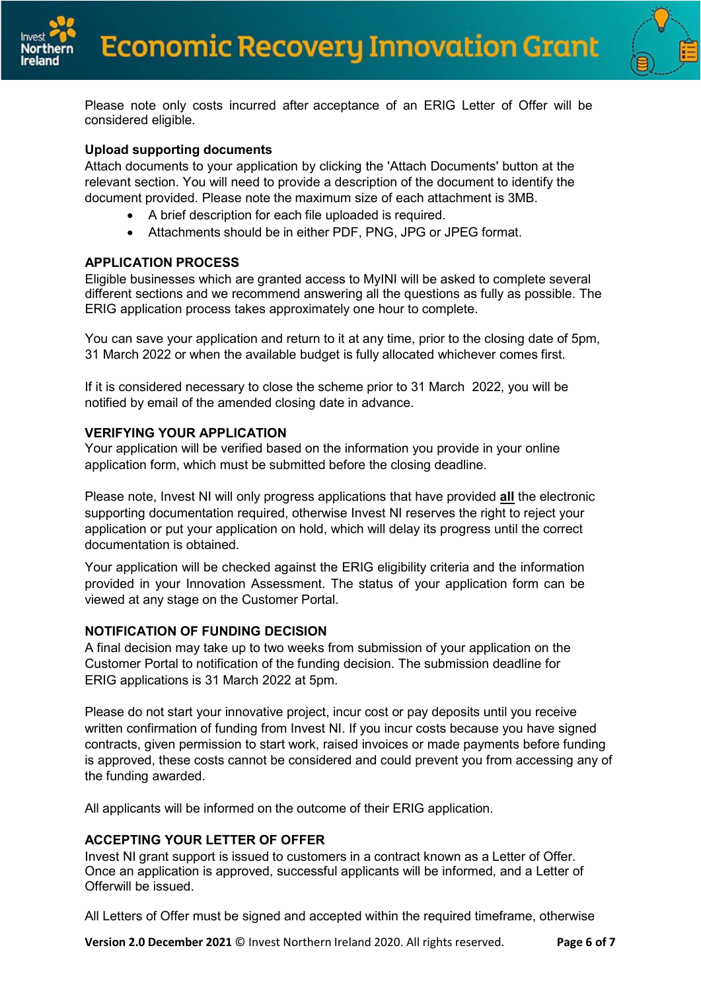



Please note only costs incurred after acceptance of an ERIG Letter of Offer will be considered eligible.

## **Upload supporting documents**

Attach documents to your application by clicking the 'Attach Documents' button at the relevant section. You will need to provide a description of the document to identify the document provided. Please note the maximum size of each attachment is 3MB.

- A brief description for each file uploaded is required.
- Attachments should be in either PDF, PNG, JPG or JPEG format.

## **APPLICATION PROCESS**

Eligible businesses which are granted access to MyINI will be asked to complete several different sections and we recommend answering all the questions as fully as possible. The ERIG application process takes approximately one hour to complete.

You can save your application and return to it at any time, prior to the closing date of 5pm, 31 March 2022 or when the available budget is fully allocated whichever comes first.

If it is considered necessary to close the scheme prior to 31 March 2022, you will be notified by email of the amended closing date in advance.

## **VERIFYING YOUR APPLICATION**

Your application will be verified based on the information you provide in your online application form, which must be submitted before the closing deadline.

Please note, Invest NI will only progress applications that have provided **all** the electronic supporting documentation required, otherwise Invest NI reserves the right to reject your application or put your application on hold, which will delay its progress until the correct documentation is obtained.

Your application will be checked against the ERIG eligibility criteria and the information provided in your Innovation Assessment. The status of your application form can be viewed at any stage on the Customer Portal.

### **NOTIFICATION OF FUNDING DECISION**

A final decision may take up to two weeks from submission of your application on the Customer Portal to notification of the funding decision. The submission deadline for ERIG applications is 31 March 2022 at 5pm.

Please do not start your innovative project, incur cost or pay deposits until you receive written confirmation of funding from Invest NI. If you incur costs because you have signed contracts, given permission to start work, raised invoices or made payments before funding is approved, these costs cannot be considered and could prevent you from accessing any of the funding awarded.

All applicants will be informed on the outcome of their ERIG application.

# **ACCEPTING YOUR LETTER OF OFFER**

Invest NI grant support is issued to customers in a contract known as a Letter of Offer. Once an application is approved, successful applicants will be informed, and a Letter of Offerwill be issued.

All Letters of Offer must be signed and accepted within the required timeframe, otherwise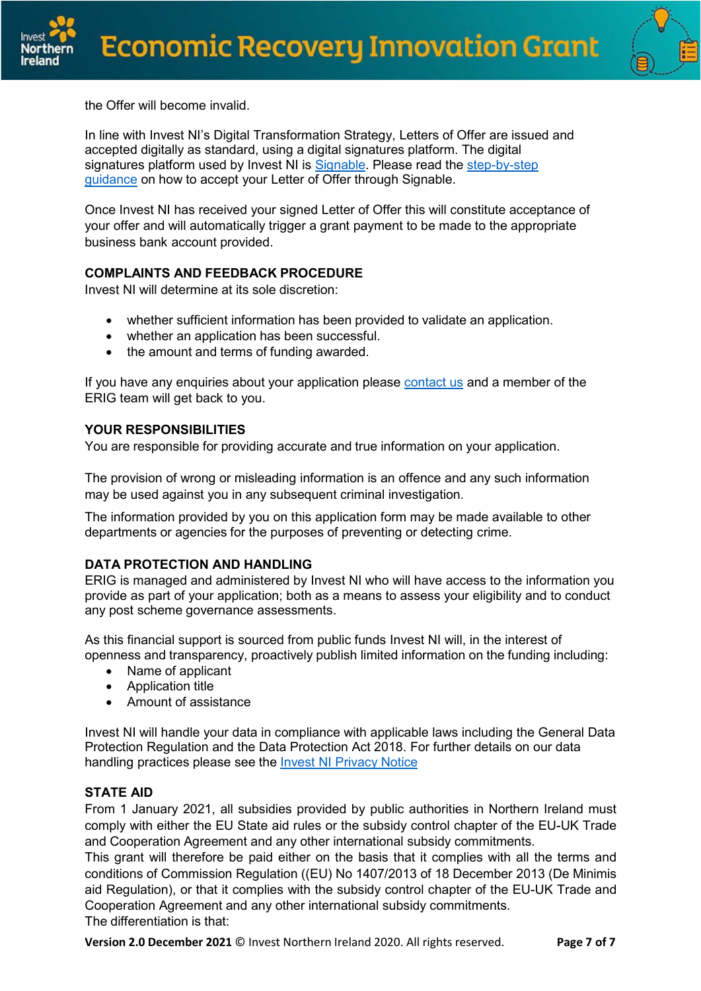

the Offer will become invalid.

In line with Invest NI's Digital Transformation Strategy, Letters of Offer are issued and accepted digitally as standard, using a digital signatures platform. The digital signatures platform used by Invest NI is [Signable.](https://www.signable.co.uk/) Please read the [step-by-step](https://www.investni.com/support-business/claims/accepting-your-letter-offer) [guidance](https://www.investni.com/support-business/claims/accepting-your-letter-offer) on how to accept your Letter of Offer through Signable.

Once Invest NI has received your signed Letter of Offer this will constitute acceptance of your offer and will automatically trigger a grant payment to be made to the appropriate business bank account provided.

# **COMPLAINTS AND FEEDBACK PROCEDURE**

Invest NI will determine at its sole discretion:

- whether sufficient information has been provided to validate an application.
- whether an application has been successful.
- the amount and terms of funding awarded.

If you have any enquiries about your application please [contact us](https://www.investni.com/economic-recovery-innovation-grant-enquiry-form) and a member of the ERIG team will get back to you.

## **YOUR RESPONSIBILITIES**

You are responsible for providing accurate and true information on your application.

The provision of wrong or misleading information is an offence and any such information may be used against you in any subsequent criminal investigation.

The information provided by you on this application form may be made available to other departments or agencies for the purposes of preventing or detecting crime.

# **DATA PROTECTION AND HANDLING**

ERIG is managed and administered by Invest NI who will have access to the information you provide as part of your application; both as a means to assess your eligibility and to conduct any post scheme governance assessments.

As this financial support is sourced from public funds Invest NI will, in the interest of openness and transparency, proactively publish limited information on the funding including:

- Name of applicant
- Application title
- Amount of assistance

Invest NI will handle your data in compliance with applicable laws including the General Data Protection Regulation and the Data Protection Act 2018. For further details on our data handling practices please see the **Invest NI [Privacy](http://www.investni.com/privacy) Notice** 

### **STATE AID**

From 1 January 2021, all subsidies provided by public authorities in Northern Ireland must comply with either the EU State aid rules or the subsidy control chapter of the EU-UK Trade and Cooperation Agreement and any other international subsidy commitments.

This grant will therefore be paid either on the basis that it complies with all the terms and conditions of Commission Regulation ((EU) No 1407/2013 of 18 December 2013 (De Minimis aid Regulation), or that it complies with the subsidy control chapter of the EU-UK Trade and Cooperation Agreement and any other international subsidy commitments. The differentiation is that:

**Version 2.0 December 2021** © Invest Northern Ireland 2020. All rights reserved. **Page 7 of 7**